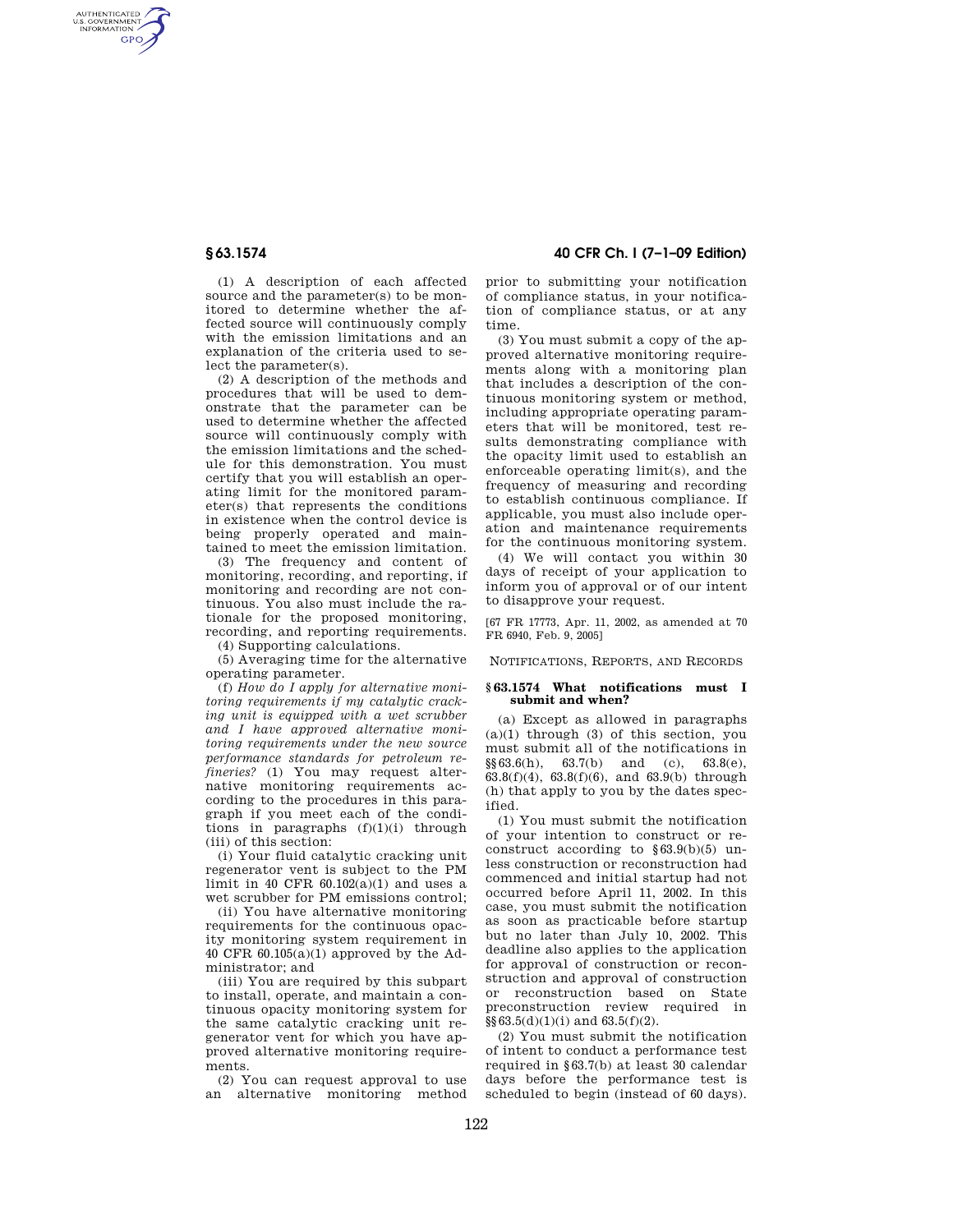AUTHENTICATED<br>U.S. GOVERNMENT<br>INFORMATION **GPO** 

> (1) A description of each affected source and the parameter(s) to be monitored to determine whether the affected source will continuously comply with the emission limitations and an explanation of the criteria used to select the parameter(s).

> (2) A description of the methods and procedures that will be used to demonstrate that the parameter can be used to determine whether the affected source will continuously comply with the emission limitations and the schedule for this demonstration. You must certify that you will establish an operating limit for the monitored parameter(s) that represents the conditions in existence when the control device is being properly operated and maintained to meet the emission limitation.

> (3) The frequency and content of monitoring, recording, and reporting, if monitoring and recording are not continuous. You also must include the rationale for the proposed monitoring, recording, and reporting requirements.

(4) Supporting calculations.

(5) Averaging time for the alternative operating parameter.

(f) *How do I apply for alternative monitoring requirements if my catalytic cracking unit is equipped with a wet scrubber and I have approved alternative monitoring requirements under the new source performance standards for petroleum refineries?* (1) You may request alternative monitoring requirements according to the procedures in this paragraph if you meet each of the conditions in paragraphs  $(f)(1)(i)$  through (iii) of this section:

(i) Your fluid catalytic cracking unit regenerator vent is subject to the PM limit in 40 CFR  $60.102(a)(1)$  and uses a wet scrubber for PM emissions control;

(ii) You have alternative monitoring requirements for the continuous opacity monitoring system requirement in 40 CFR  $60.105(a)(1)$  approved by the Administrator; and

(iii) You are required by this subpart to install, operate, and maintain a continuous opacity monitoring system for the same catalytic cracking unit regenerator vent for which you have approved alternative monitoring requirements.

(2) You can request approval to use an alternative monitoring method

**§ 63.1574 40 CFR Ch. I (7–1–09 Edition)** 

prior to submitting your notification of compliance status, in your notification of compliance status, or at any time.

(3) You must submit a copy of the approved alternative monitoring requirements along with a monitoring plan that includes a description of the continuous monitoring system or method, including appropriate operating parameters that will be monitored, test results demonstrating compliance with the opacity limit used to establish an enforceable operating limit(s), and the frequency of measuring and recording to establish continuous compliance. If applicable, you must also include operation and maintenance requirements for the continuous monitoring system.

(4) We will contact you within 30 days of receipt of your application to inform you of approval or of our intent to disapprove your request.

[67 FR 17773, Apr. 11, 2002, as amended at 70 FR 6940, Feb. 9, 2005]

NOTIFICATIONS, REPORTS, AND RECORDS

## **§ 63.1574 What notifications must I submit and when?**

(a) Except as allowed in paragraphs  $(a)(1)$  through  $(3)$  of this section, you must submit all of the notifications in  $\S\S 63.6(h),$  63.7(b) and (c), 63.8(e),  $63.8(f)(4)$ ,  $63.8(f)(6)$ , and  $63.9(f)(6)$  through (h) that apply to you by the dates specified.

(1) You must submit the notification of your intention to construct or reconstruct according to  $§63.9(b)(5)$  unless construction or reconstruction had commenced and initial startup had not occurred before April 11, 2002. In this case, you must submit the notification as soon as practicable before startup but no later than July 10, 2002. This deadline also applies to the application for approval of construction or reconstruction and approval of construction or reconstruction based on State preconstruction review required in  $\S\S 63.5(d)(1)(i)$  and  $63.5(f)(2)$ .

(2) You must submit the notification of intent to conduct a performance test required in §63.7(b) at least 30 calendar days before the performance test is scheduled to begin (instead of 60 days).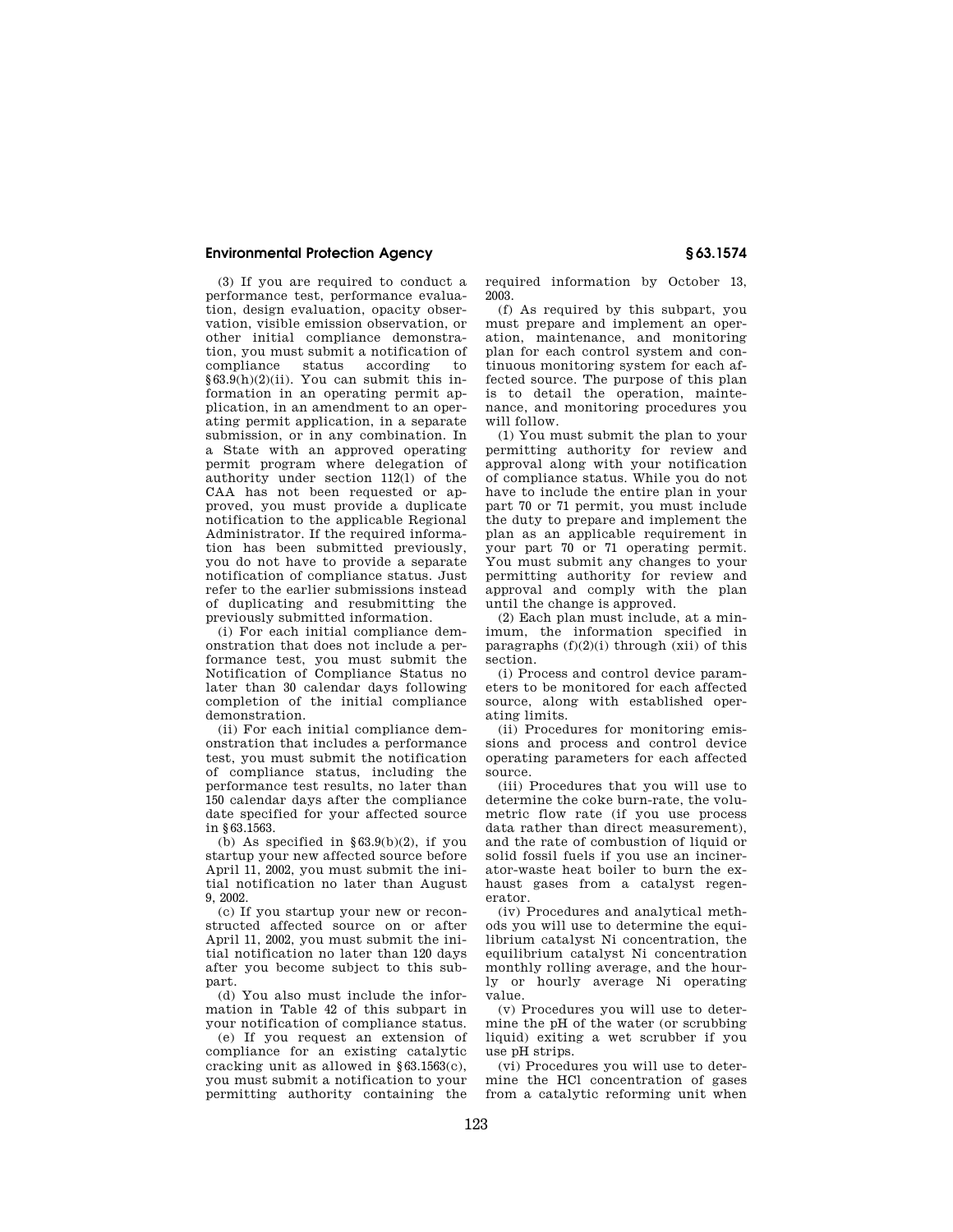## **Environmental Protection Agency § 63.1574**

(3) If you are required to conduct a performance test, performance evaluation, design evaluation, opacity observation, visible emission observation, or other initial compliance demonstration, you must submit a notification of according to §63.9(h)(2)(ii). You can submit this information in an operating permit application, in an amendment to an operating permit application, in a separate submission, or in any combination. In a State with an approved operating permit program where delegation of authority under section  $112(1)$  of the CAA has not been requested or approved, you must provide a duplicate notification to the applicable Regional Administrator. If the required information has been submitted previously, you do not have to provide a separate notification of compliance status. Just refer to the earlier submissions instead of duplicating and resubmitting the previously submitted information.

(i) For each initial compliance demonstration that does not include a performance test, you must submit the Notification of Compliance Status no later than 30 calendar days following completion of the initial compliance demonstration.

(ii) For each initial compliance demonstration that includes a performance test, you must submit the notification of compliance status, including the performance test results, no later than 150 calendar days after the compliance date specified for your affected source in §63.1563.

(b) As specified in  $\S 63.9(b)(2)$ , if you startup your new affected source before April 11, 2002, you must submit the initial notification no later than August 9, 2002.

(c) If you startup your new or reconstructed affected source on or after April 11, 2002, you must submit the initial notification no later than 120 days after you become subject to this subpart.

(d) You also must include the information in Table 42 of this subpart in your notification of compliance status.

(e) If you request an extension of compliance for an existing catalytic cracking unit as allowed in §63.1563(c), you must submit a notification to your permitting authority containing the

required information by October 13, 2003.

(f) As required by this subpart, you must prepare and implement an operation, maintenance, and monitoring plan for each control system and continuous monitoring system for each affected source. The purpose of this plan is to detail the operation, maintenance, and monitoring procedures you will follow.

(1) You must submit the plan to your permitting authority for review and approval along with your notification of compliance status. While you do not have to include the entire plan in your part 70 or 71 permit, you must include the duty to prepare and implement the plan as an applicable requirement in your part 70 or 71 operating permit. You must submit any changes to your permitting authority for review and approval and comply with the plan until the change is approved.

(2) Each plan must include, at a minimum, the information specified in paragraphs  $(f)(2)(i)$  through (xii) of this section.

(i) Process and control device parameters to be monitored for each affected source, along with established operating limits.

(ii) Procedures for monitoring emissions and process and control device operating parameters for each affected source.

(iii) Procedures that you will use to determine the coke burn-rate, the volumetric flow rate (if you use process data rather than direct measurement), and the rate of combustion of liquid or solid fossil fuels if you use an incinerator-waste heat boiler to burn the exhaust gases from a catalyst regenerator.

(iv) Procedures and analytical methods you will use to determine the equilibrium catalyst Ni concentration, the equilibrium catalyst Ni concentration monthly rolling average, and the hourly or hourly average Ni operating value.

(v) Procedures you will use to determine the pH of the water (or scrubbing liquid) exiting a wet scrubber if you use pH strips.

(vi) Procedures you will use to determine the HCl concentration of gases from a catalytic reforming unit when